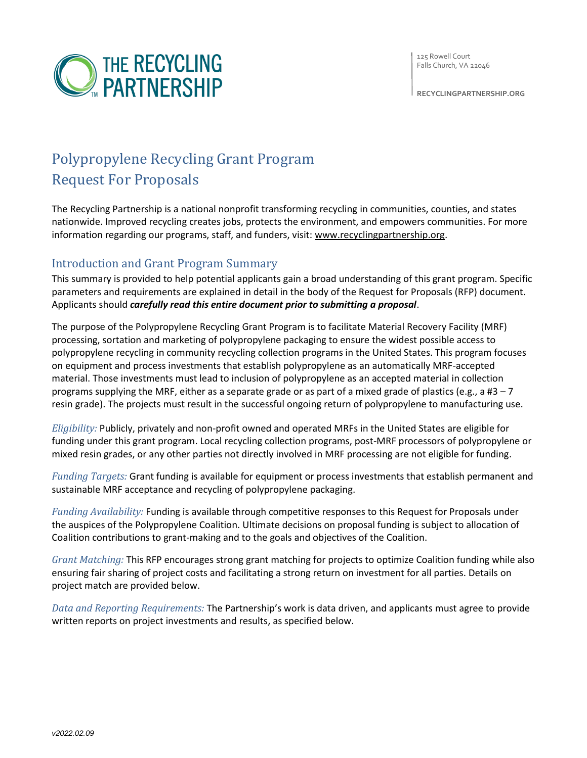

**RECYCLINGPARTNERSHIP.ORG**



# Polypropylene Recycling Grant Program Request For Proposals

The Recycling Partnership is a national nonprofit transforming recycling in communities, counties, and states nationwide. Improved recycling creates jobs, protects the environment, and empowers communities. For more information regarding our programs, staff, and funders, visit: [www.recyclingpartnership.org.](http://recyclingpartnership.org/)

## Introduction and Grant Program Summary

This summary is provided to help potential applicants gain a broad understanding of this grant program. Specific parameters and requirements are explained in detail in the body of the Request for Proposals (RFP) document. Applicants should *carefully read this entire document prior to submitting a proposal*.

The purpose of the Polypropylene Recycling Grant Program is to facilitate Material Recovery Facility (MRF) processing, sortation and marketing of polypropylene packaging to ensure the widest possible access to polypropylene recycling in community recycling collection programs in the United States. This program focuses on equipment and process investments that establish polypropylene as an automatically MRF-accepted material. Those investments must lead to inclusion of polypropylene as an accepted material in collection programs supplying the MRF, either as a separate grade or as part of a mixed grade of plastics (e.g., a #3 – 7 resin grade). The projects must result in the successful ongoing return of polypropylene to manufacturing use.

*Eligibility:* Publicly, privately and non-profit owned and operated MRFs in the United States are eligible for funding under this grant program. Local recycling collection programs, post-MRF processors of polypropylene or mixed resin grades, or any other parties not directly involved in MRF processing are not eligible for funding.

*Funding Targets:* Grant funding is available for equipment or process investments that establish permanent and sustainable MRF acceptance and recycling of polypropylene packaging.

*Funding Availability:* Funding is available through competitive responses to this Request for Proposals under the auspices of the Polypropylene Coalition. Ultimate decisions on proposal funding is subject to allocation of Coalition contributions to grant-making and to the goals and objectives of the Coalition.

*Grant Matching:* This RFP encourages strong grant matching for projects to optimize Coalition funding while also ensuring fair sharing of project costs and facilitating a strong return on investment for all parties. Details on project match are provided below.

*Data and Reporting Requirements:* The Partnership's work is data driven, and applicants must agree to provide written reports on project investments and results, as specified below.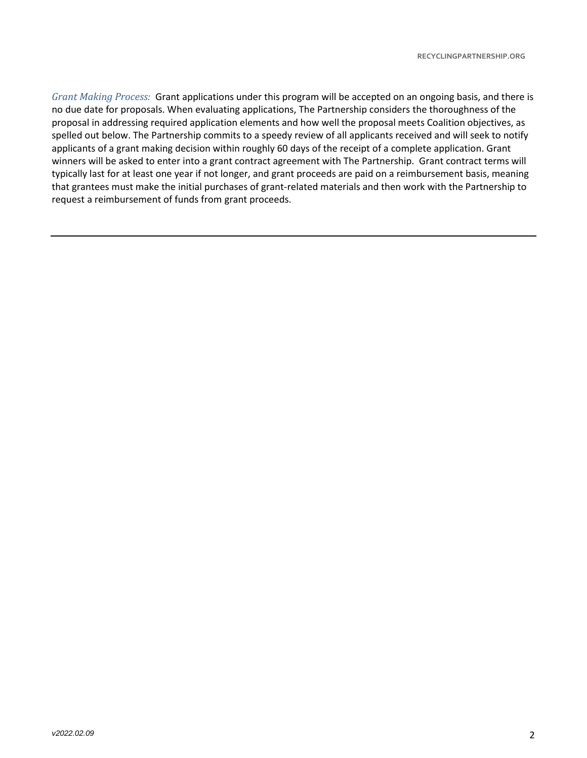*Grant Making Process:* Grant applications under this program will be accepted on an ongoing basis, and there is no due date for proposals. When evaluating applications, The Partnership considers the thoroughness of the proposal in addressing required application elements and how well the proposal meets Coalition objectives, as spelled out below. The Partnership commits to a speedy review of all applicants received and will seek to notify applicants of a grant making decision within roughly 60 days of the receipt of a complete application. Grant winners will be asked to enter into a grant contract agreement with The Partnership. Grant contract terms will typically last for at least one year if not longer, and grant proceeds are paid on a reimbursement basis, meaning that grantees must make the initial purchases of grant-related materials and then work with the Partnership to request a reimbursement of funds from grant proceeds.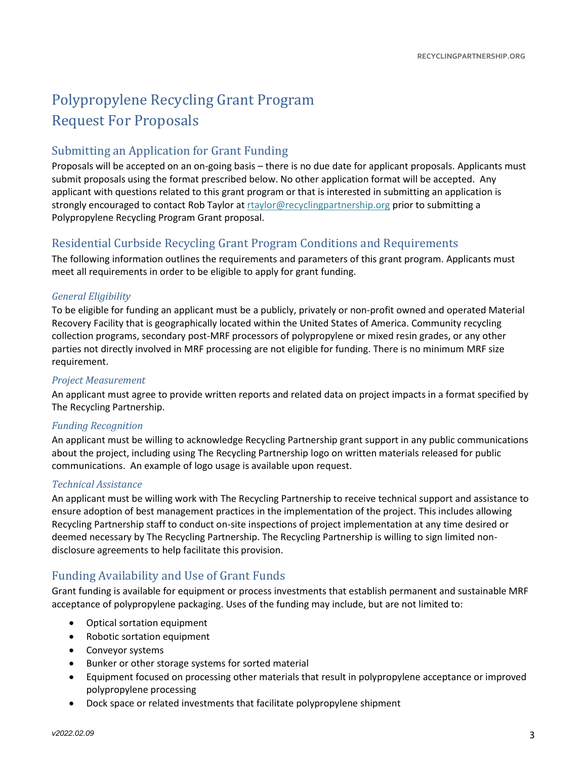# Polypropylene Recycling Grant Program Request For Proposals

### Submitting an Application for Grant Funding

Proposals will be accepted on an on-going basis – there is no due date for applicant proposals. Applicants must submit proposals using the format prescribed below. No other application format will be accepted. Any applicant with questions related to this grant program or that is interested in submitting an application is strongly encouraged to contact Rob Taylor at [rtaylor@recyclingpartnership.org](mailto:rtaylor@recyclingpartnership.org) prior to submitting a Polypropylene Recycling Program Grant proposal.

### Residential Curbside Recycling Grant Program Conditions and Requirements

The following information outlines the requirements and parameters of this grant program. Applicants must meet all requirements in order to be eligible to apply for grant funding.

#### *General Eligibility*

To be eligible for funding an applicant must be a publicly, privately or non-profit owned and operated Material Recovery Facility that is geographically located within the United States of America. Community recycling collection programs, secondary post-MRF processors of polypropylene or mixed resin grades, or any other parties not directly involved in MRF processing are not eligible for funding. There is no minimum MRF size requirement.

#### *Project Measurement*

An applicant must agree to provide written reports and related data on project impacts in a format specified by The Recycling Partnership.

#### *Funding Recognition*

An applicant must be willing to acknowledge Recycling Partnership grant support in any public communications about the project, including using The Recycling Partnership logo on written materials released for public communications. An example of logo usage is available upon request.

#### *Technical Assistance*

An applicant must be willing work with The Recycling Partnership to receive technical support and assistance to ensure adoption of best management practices in the implementation of the project. This includes allowing Recycling Partnership staff to conduct on-site inspections of project implementation at any time desired or deemed necessary by The Recycling Partnership. The Recycling Partnership is willing to sign limited nondisclosure agreements to help facilitate this provision.

### Funding Availability and Use of Grant Funds

Grant funding is available for equipment or process investments that establish permanent and sustainable MRF acceptance of polypropylene packaging. Uses of the funding may include, but are not limited to:

- Optical sortation equipment
- Robotic sortation equipment
- Conveyor systems
- Bunker or other storage systems for sorted material
- Equipment focused on processing other materials that result in polypropylene acceptance or improved polypropylene processing
- Dock space or related investments that facilitate polypropylene shipment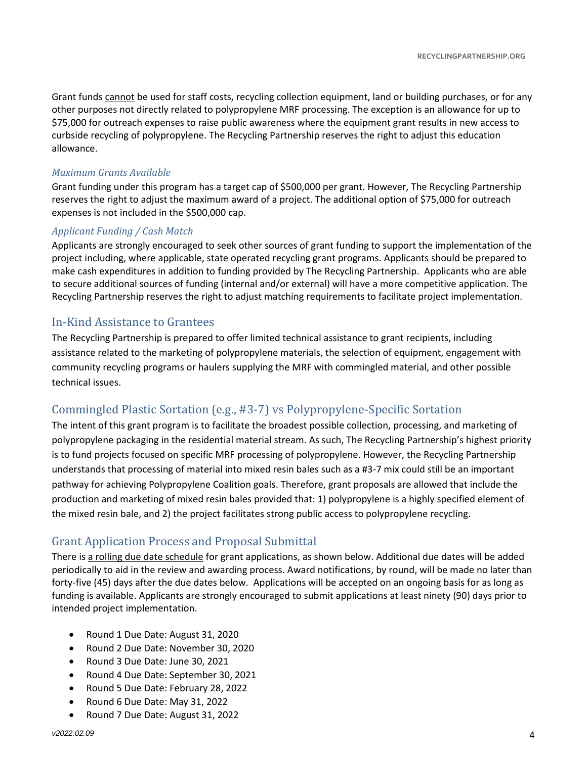Grant funds cannot be used for staff costs, recycling collection equipment, land or building purchases, or for any other purposes not directly related to polypropylene MRF processing. The exception is an allowance for up to \$75,000 for outreach expenses to raise public awareness where the equipment grant results in new access to curbside recycling of polypropylene. The Recycling Partnership reserves the right to adjust this education allowance.

#### *Maximum Grants Available*

Grant funding under this program has a target cap of \$500,000 per grant. However, The Recycling Partnership reserves the right to adjust the maximum award of a project. The additional option of \$75,000 for outreach expenses is not included in the \$500,000 cap.

#### *Applicant Funding / Cash Match*

Applicants are strongly encouraged to seek other sources of grant funding to support the implementation of the project including, where applicable, state operated recycling grant programs. Applicants should be prepared to make cash expenditures in addition to funding provided by The Recycling Partnership. Applicants who are able to secure additional sources of funding (internal and/or external) will have a more competitive application. The Recycling Partnership reserves the right to adjust matching requirements to facilitate project implementation.

#### In-Kind Assistance to Grantees

The Recycling Partnership is prepared to offer limited technical assistance to grant recipients, including assistance related to the marketing of polypropylene materials, the selection of equipment, engagement with community recycling programs or haulers supplying the MRF with commingled material, and other possible technical issues.

### Commingled Plastic Sortation (e.g., #3-7) vs Polypropylene-Specific Sortation

The intent of this grant program is to facilitate the broadest possible collection, processing, and marketing of polypropylene packaging in the residential material stream. As such, The Recycling Partnership's highest priority is to fund projects focused on specific MRF processing of polypropylene. However, the Recycling Partnership understands that processing of material into mixed resin bales such as a #3-7 mix could still be an important pathway for achieving Polypropylene Coalition goals. Therefore, grant proposals are allowed that include the production and marketing of mixed resin bales provided that: 1) polypropylene is a highly specified element of the mixed resin bale, and 2) the project facilitates strong public access to polypropylene recycling.

### Grant Application Process and Proposal Submittal

There is a rolling due date schedule for grant applications, as shown below. Additional due dates will be added periodically to aid in the review and awarding process. Award notifications, by round, will be made no later than forty-five (45) days after the due dates below. Applications will be accepted on an ongoing basis for as long as funding is available. Applicants are strongly encouraged to submit applications at least ninety (90) days prior to intended project implementation.

- Round 1 Due Date: August 31, 2020
- Round 2 Due Date: November 30, 2020
- Round 3 Due Date: June 30, 2021
- Round 4 Due Date: September 30, 2021
- Round 5 Due Date: February 28, 2022
- Round 6 Due Date: May 31, 2022
- Round 7 Due Date: August 31, 2022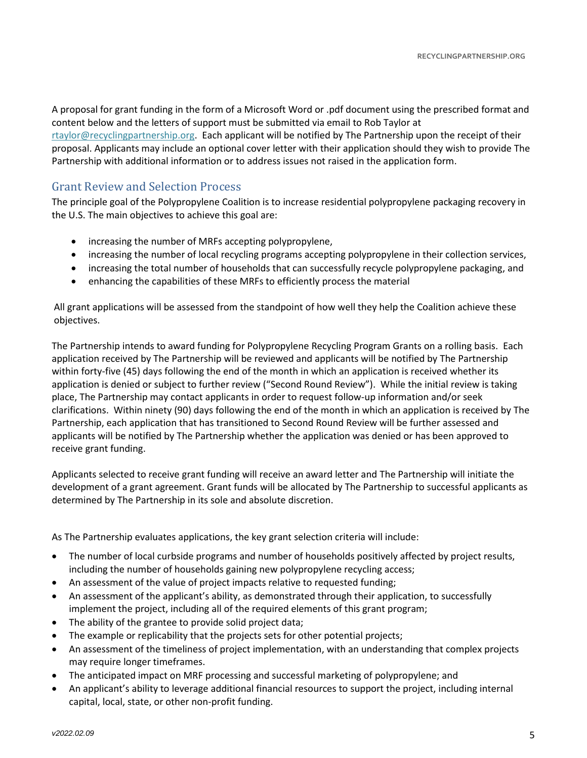A proposal for grant funding in the form of a Microsoft Word or .pdf document using the prescribed format and content below and the letters of support must be submitted via email to Rob Taylor at [rtaylor@recyclingpartnership.org.](mailto:rtaylor@recyclingpartnership.org) Each applicant will be notified by The Partnership upon the receipt of their proposal. Applicants may include an optional cover letter with their application should they wish to provide The Partnership with additional information or to address issues not raised in the application form.

### Grant Review and Selection Process

The principle goal of the Polypropylene Coalition is to increase residential polypropylene packaging recovery in the U.S. The main objectives to achieve this goal are:

- increasing the number of MRFs accepting polypropylene,
- increasing the number of local recycling programs accepting polypropylene in their collection services,
- increasing the total number of households that can successfully recycle polypropylene packaging, and
- enhancing the capabilities of these MRFs to efficiently process the material

All grant applications will be assessed from the standpoint of how well they help the Coalition achieve these objectives.

The Partnership intends to award funding for Polypropylene Recycling Program Grants on a rolling basis. Each application received by The Partnership will be reviewed and applicants will be notified by The Partnership within forty-five (45) days following the end of the month in which an application is received whether its application is denied or subject to further review ("Second Round Review"). While the initial review is taking place, The Partnership may contact applicants in order to request follow-up information and/or seek clarifications. Within ninety (90) days following the end of the month in which an application is received by The Partnership, each application that has transitioned to Second Round Review will be further assessed and applicants will be notified by The Partnership whether the application was denied or has been approved to receive grant funding.

Applicants selected to receive grant funding will receive an award letter and The Partnership will initiate the development of a grant agreement. Grant funds will be allocated by The Partnership to successful applicants as determined by The Partnership in its sole and absolute discretion.

As The Partnership evaluates applications, the key grant selection criteria will include:

- The number of local curbside programs and number of households positively affected by project results, including the number of households gaining new polypropylene recycling access;
- An assessment of the value of project impacts relative to requested funding;
- An assessment of the applicant's ability, as demonstrated through their application, to successfully implement the project, including all of the required elements of this grant program;
- The ability of the grantee to provide solid project data;
- The example or replicability that the projects sets for other potential projects;
- An assessment of the timeliness of project implementation, with an understanding that complex projects may require longer timeframes.
- The anticipated impact on MRF processing and successful marketing of polypropylene; and
- An applicant's ability to leverage additional financial resources to support the project, including internal capital, local, state, or other non-profit funding.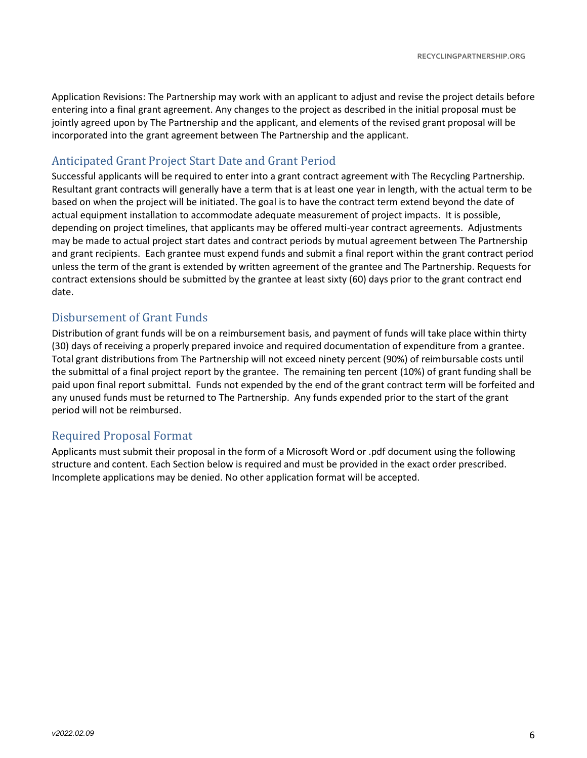Application Revisions: The Partnership may work with an applicant to adjust and revise the project details before entering into a final grant agreement. Any changes to the project as described in the initial proposal must be jointly agreed upon by The Partnership and the applicant, and elements of the revised grant proposal will be incorporated into the grant agreement between The Partnership and the applicant.

### Anticipated Grant Project Start Date and Grant Period

Successful applicants will be required to enter into a grant contract agreement with The Recycling Partnership. Resultant grant contracts will generally have a term that is at least one year in length, with the actual term to be based on when the project will be initiated. The goal is to have the contract term extend beyond the date of actual equipment installation to accommodate adequate measurement of project impacts. It is possible, depending on project timelines, that applicants may be offered multi-year contract agreements. Adjustments may be made to actual project start dates and contract periods by mutual agreement between The Partnership and grant recipients. Each grantee must expend funds and submit a final report within the grant contract period unless the term of the grant is extended by written agreement of the grantee and The Partnership. Requests for contract extensions should be submitted by the grantee at least sixty (60) days prior to the grant contract end date.

### Disbursement of Grant Funds

Distribution of grant funds will be on a reimbursement basis, and payment of funds will take place within thirty (30) days of receiving a properly prepared invoice and required documentation of expenditure from a grantee. Total grant distributions from The Partnership will not exceed ninety percent (90%) of reimbursable costs until the submittal of a final project report by the grantee. The remaining ten percent (10%) of grant funding shall be paid upon final report submittal. Funds not expended by the end of the grant contract term will be forfeited and any unused funds must be returned to The Partnership. Any funds expended prior to the start of the grant period will not be reimbursed.

### Required Proposal Format

Applicants must submit their proposal in the form of a Microsoft Word or .pdf document using the following structure and content. Each Section below is required and must be provided in the exact order prescribed. Incomplete applications may be denied. No other application format will be accepted.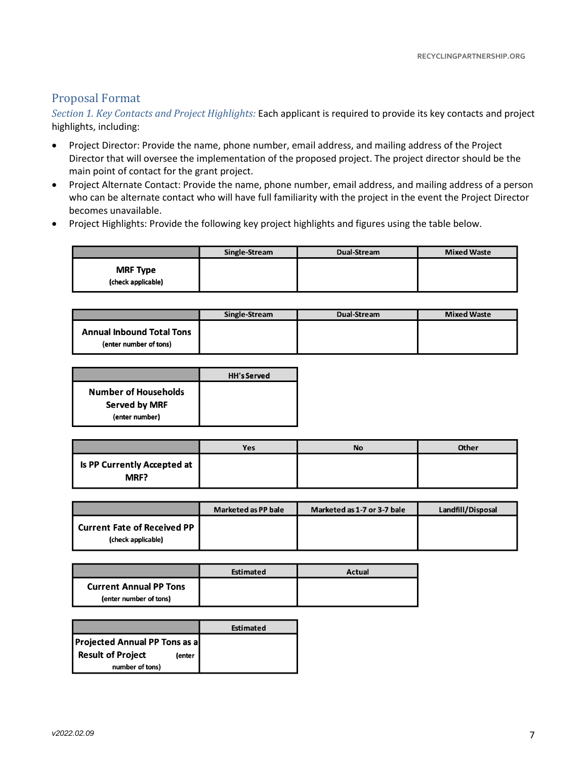### Proposal Format

*Section 1. Key Contacts and Project Highlights:* Each applicant is required to provide its key contacts and project highlights, including:

- Project Director: Provide the name, phone number, email address, and mailing address of the Project Director that will oversee the implementation of the proposed project. The project director should be the main point of contact for the grant project.
- Project Alternate Contact: Provide the name, phone number, email address, and mailing address of a person who can be alternate contact who will have full familiarity with the project in the event the Project Director becomes unavailable.
- Project Highlights: Provide the following key project highlights and figures using the table below.

|                                       | Single-Stream | Dual-Stream | <b>Mixed Waste</b> |
|---------------------------------------|---------------|-------------|--------------------|
| <b>MRF Type</b><br>(check applicable) |               |             |                    |

|                                                            | Single-Stream | Dual-Stream | <b>Mixed Waste</b> |
|------------------------------------------------------------|---------------|-------------|--------------------|
| <b>Annual Inbound Total Tons</b><br>(enter number of tons) |               |             |                    |

|                             | <b>HH's Served</b> |
|-----------------------------|--------------------|
| <b>Number of Households</b> |                    |
| <b>Served by MRF</b>        |                    |
| (enter number)              |                    |

|                                       | Yes | No | Other |
|---------------------------------------|-----|----|-------|
| Is PP Currently Accepted at  <br>MRF? |     |    |       |

|                                                              | <b>Marketed as PP bale</b> | Marketed as 1-7 or 3-7 bale | Landfill/Disposal |
|--------------------------------------------------------------|----------------------------|-----------------------------|-------------------|
| <b>I Current Fate of Received PP I</b><br>(check applicable) |                            |                             |                   |

|                                                         | Estimated | Actual |
|---------------------------------------------------------|-----------|--------|
| <b>Current Annual PP Tons</b><br>(enter number of tons) |           |        |

|                                      | Estimated |
|--------------------------------------|-----------|
| <b>Projected Annual PP Tons as a</b> |           |
| <b>Result of Project</b><br>(enter   |           |
| number of tons)                      |           |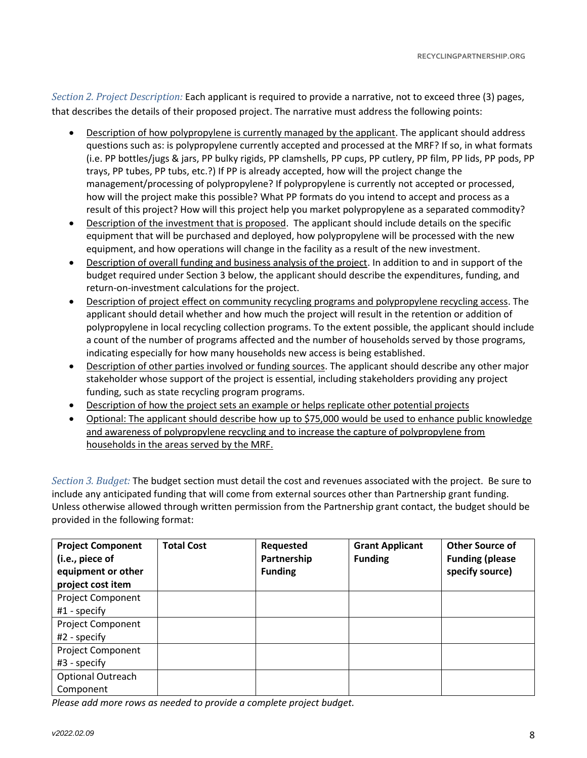*Section 2. Project Description:* Each applicant is required to provide a narrative, not to exceed three (3) pages, that describes the details of their proposed project. The narrative must address the following points:

- Description of how polypropylene is currently managed by the applicant. The applicant should address questions such as: is polypropylene currently accepted and processed at the MRF? If so, in what formats (i.e. PP bottles/jugs & jars, PP bulky rigids, PP clamshells, PP cups, PP cutlery, PP film, PP lids, PP pods, PP trays, PP tubes, PP tubs, etc.?) If PP is already accepted, how will the project change the management/processing of polypropylene? If polypropylene is currently not accepted or processed, how will the project make this possible? What PP formats do you intend to accept and process as a result of this project? How will this project help you market polypropylene as a separated commodity?
- Description of the investment that is proposed. The applicant should include details on the specific equipment that will be purchased and deployed, how polypropylene will be processed with the new equipment, and how operations will change in the facility as a result of the new investment.
- Description of overall funding and business analysis of the project. In addition to and in support of the budget required under Section 3 below, the applicant should describe the expenditures, funding, and return-on-investment calculations for the project.
- Description of project effect on community recycling programs and polypropylene recycling access. The applicant should detail whether and how much the project will result in the retention or addition of polypropylene in local recycling collection programs. To the extent possible, the applicant should include a count of the number of programs affected and the number of households served by those programs, indicating especially for how many households new access is being established.
- Description of other parties involved or funding sources. The applicant should describe any other major stakeholder whose support of the project is essential, including stakeholders providing any project funding, such as state recycling program programs.
- Description of how the project sets an example or helps replicate other potential projects
- Optional: The applicant should describe how up to \$75,000 would be used to enhance public knowledge and awareness of polypropylene recycling and to increase the capture of polypropylene from households in the areas served by the MRF.

*Section 3. Budget:* The budget section must detail the cost and revenues associated with the project. Be sure to include any anticipated funding that will come from external sources other than Partnership grant funding. Unless otherwise allowed through written permission from the Partnership grant contact, the budget should be provided in the following format:

| <b>Project Component</b><br>(i.e., piece of<br>equipment or other<br>project cost item | <b>Total Cost</b> | Requested<br>Partnership<br><b>Funding</b> | <b>Grant Applicant</b><br><b>Funding</b> | <b>Other Source of</b><br><b>Funding (please</b><br>specify source) |
|----------------------------------------------------------------------------------------|-------------------|--------------------------------------------|------------------------------------------|---------------------------------------------------------------------|
| <b>Project Component</b>                                                               |                   |                                            |                                          |                                                                     |
| $#1$ - specify                                                                         |                   |                                            |                                          |                                                                     |
| <b>Project Component</b>                                                               |                   |                                            |                                          |                                                                     |
| $#2$ - specify                                                                         |                   |                                            |                                          |                                                                     |
| <b>Project Component</b>                                                               |                   |                                            |                                          |                                                                     |
| #3 - specify                                                                           |                   |                                            |                                          |                                                                     |
| Optional Outreach                                                                      |                   |                                            |                                          |                                                                     |
| Component                                                                              |                   |                                            |                                          |                                                                     |

*Please add more rows as needed to provide a complete project budget.*